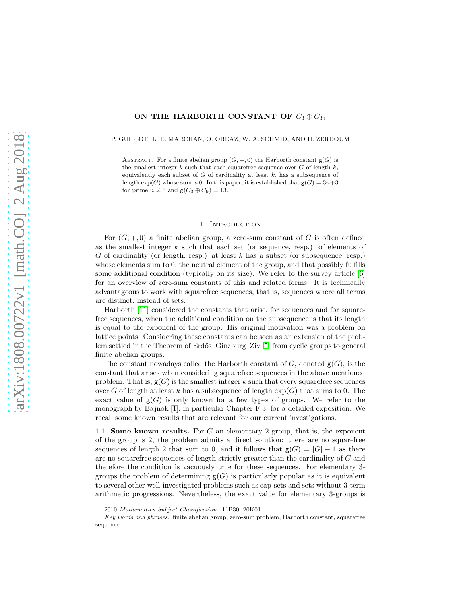# ON THE HARBORTH CONSTANT OF  $C_3 \oplus C_{3n}$

#### P. GUILLOT, L. E. MARCHAN, O. ORDAZ, W. A. SCHMID, AND H. ZERDOUM

ABSTRACT. For a finite abelian group  $(G, +, 0)$  the Harborth constant  $g(G)$  is the smallest integer  $k$  such that each squarefree sequence over  $G$  of length  $k$ , equivalently each subset of  $G$  of cardinality at least  $k$ , has a subsequence of length  $exp(G)$  whose sum is 0. In this paper, it is established that  $g(G) = 3n+3$ for prime  $n \neq 3$  and  $\mathsf{g}(C_3 \oplus C_9) = 13$ .

### 1. INTRODUCTION

For  $(G, +, 0)$  a finite abelian group, a zero-sum constant of G is often defined as the smallest integer  $k$  such that each set (or sequence, resp.) of elements of G of cardinality (or length, resp.) at least  $k$  has a subset (or subsequence, resp.) whose elements sum to 0, the neutral element of the group, and that possibly fulfills some additional condition (typically on its size). We refer to the survey article  $[6]$ for an overview of zero-sum constants of this and related forms. It is technically advantageous to work with squarefree sequences, that is, sequences where all terms are distinct, instead of sets.

Harborth [\[11\]](#page-16-0) considered the constants that arise, for sequences and for squarefree sequences, when the additional condition on the subsequence is that its length is equal to the exponent of the group. His original motivation was a problem on lattice points. Considering these constants can be seen as an extension of the problem settled in the Theorem of Erd˝os–Ginzburg–Ziv [\[5\]](#page-15-1) from cyclic groups to general finite abelian groups.

The constant nowadays called the Harborth constant of  $G$ , denoted  $g(G)$ , is the constant that arises when considering squarefree sequences in the above mentioned problem. That is,  $g(G)$  is the smallest integer k such that every squarefree sequences over G of length at least k has a subsequence of length  $\exp(G)$  that sums to 0. The exact value of  $g(G)$  is only known for a few types of groups. We refer to the monograph by Bajnok [\[1\]](#page-15-2), in particular Chapter F.3, for a detailed exposition. We recall some known results that are relevant for our current investigations.

1.1. **Some known results.** For G an elementary 2-group, that is, the exponent of the group is 2, the problem admits a direct solution: there are no squarefree sequences of length 2 that sum to 0, and it follows that  $g(G) = |G| + 1$  as there are no squarefree sequences of length strictly greater than the cardinality of G and therefore the condition is vacuously true for these sequences. For elementary 3 groups the problem of determining  $g(G)$  is particularly popular as it is equivalent to several other well-investigated problems such as cap-sets and sets without 3-term arithmetic progressions. Nevertheless, the exact value for elementary 3-groups is

<sup>2010</sup> Mathematics Subject Classification. 11B30, 20K01.

Key words and phrases. finite abelian group, zero-sum problem, Harborth constant, squarefree sequence.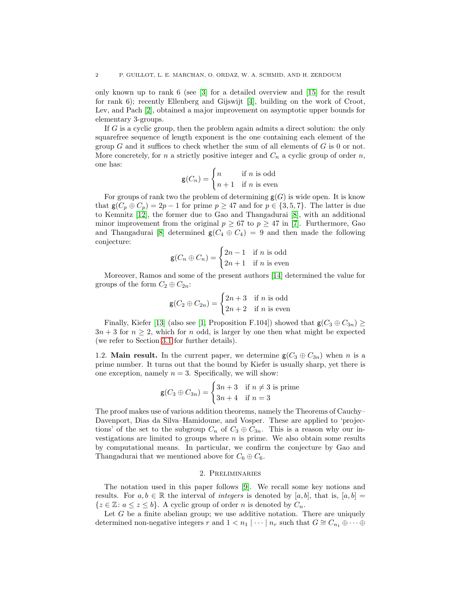only known up to rank 6 (see [\[3\]](#page-15-3) for a detailed overview and [\[15\]](#page-16-1) for the result for rank 6); recently Ellenberg and Gijswijt [\[4\]](#page-15-4), building on the work of Croot, Lev, and Pach [\[2\]](#page-15-5), obtained a major improvement on asymptotic upper bounds for elementary 3-groups.

If G is a cyclic group, then the problem again admits a direct solution: the only squarefree sequence of length exponent is the one containing each element of the group  $G$  and it suffices to check whether the sum of all elements of  $G$  is 0 or not. More concretely, for n a strictly positive integer and  $C_n$  a cyclic group of order n, one has:

$$
\mathsf{g}(C_n) = \begin{cases} n & \text{if } n \text{ is odd} \\ n+1 & \text{if } n \text{ is even} \end{cases}
$$

For groups of rank two the problem of determining  $g(G)$  is wide open. It is know that  $g(C_p \oplus C_p) = 2p - 1$  for prime  $p \ge 47$  and for  $p \in \{3, 5, 7\}$ . The latter is due to Kemnitz [\[12\]](#page-16-2), the former due to Gao and Thangadurai [\[8\]](#page-15-6), with an additional minor improvement from the original  $p \geq 67$  to  $p \geq 47$  in [\[7\]](#page-15-7). Furthermore, Gao and Thangadurai [\[8\]](#page-15-6) determined  $g(C_4 \oplus C_4) = 9$  and then made the following conjecture:

$$
\mathsf{g}(C_n \oplus C_n) = \begin{cases} 2n - 1 & \text{if } n \text{ is odd} \\ 2n + 1 & \text{if } n \text{ is even} \end{cases}
$$

Moreover, Ramos and some of the present authors [\[14\]](#page-16-3) determined the value for groups of the form  $C_2 \oplus C_{2n}$ :

$$
\mathsf{g}(C_2 \oplus C_{2n}) = \begin{cases} 2n+3 & \text{if } n \text{ is odd} \\ 2n+2 & \text{if } n \text{ is even} \end{cases}
$$

Finally, Kiefer [\[13\]](#page-16-4) (also see [\[1,](#page-15-2) Proposition F.104]) showed that  $g(C_3 \oplus C_{3n}) \ge$  $3n + 3$  for  $n \geq 2$ , which for n odd, is larger by one then what might be expected (we refer to Section [3.1](#page-4-0) for further details).

1.2. **Main result.** In the current paper, we determine  $g(C_3 \oplus C_{3n})$  when n is a prime number. It turns out that the bound by Kiefer is usually sharp, yet there is one exception, namely  $n = 3$ . Specifically, we will show:

$$
\mathsf{g}(C_3 \oplus C_{3n}) = \begin{cases} 3n+3 & \text{if } n \neq 3 \text{ is prime} \\ 3n+4 & \text{if } n = 3 \end{cases}
$$

The proof makes use of various addition theorems, namely the Theorems of Cauchy– Davenport, Dias da Silva–Hamidoune, and Vosper. These are applied to 'projections' of the set to the subgroup  $C_n$  of  $C_3 \oplus C_{3n}$ . This is a reason why our investigations are limited to groups where  $n$  is prime. We also obtain some results by computational means. In particular, we confirm the conjecture by Gao and Thangadurai that we mentioned above for  $C_6 \oplus C_6$ .

# 2. Preliminaries

<span id="page-1-0"></span>The notation used in this paper follows [\[9\]](#page-15-8). We recall some key notions and results. For  $a, b \in \mathbb{R}$  the interval of *integers* is denoted by [a, b], that is, [a, b] =  $\{z \in \mathbb{Z} : a \leq z \leq b\}$ . A cyclic group of order *n* is denoted by  $C_n$ .

Let  $G$  be a finite abelian group; we use additive notation. There are uniquely determined non-negative integers r and  $1 < n_1 \mid \cdots \mid n_r$  such that  $G \cong C_{n_1} \oplus \cdots \oplus$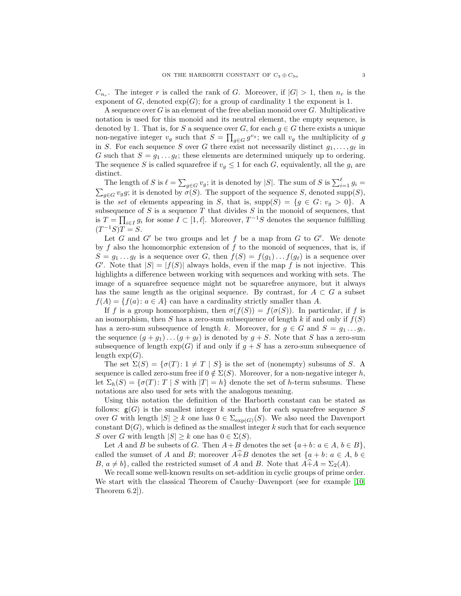$C_{n_r}$ . The integer r is called the rank of G. Moreover, if  $|G| > 1$ , then  $n_r$  is the exponent of G, denoted  $exp(G)$ ; for a group of cardinality 1 the exponent is 1.

A sequence over  $G$  is an element of the free abelian monoid over  $G$ . Multiplicative notation is used for this monoid and its neutral element, the empty sequence, is denoted by 1. That is, for S a sequence over G, for each  $g \in G$  there exists a unique non-negative integer  $v_g$  such that  $S = \prod_{g \in G} g^{v_g}$ ; we call  $v_g$  the multiplicity of g in S. For each sequence S over G there exist not necessarily distinct  $g_1, \ldots, g_\ell$  in G such that  $S = g_1 \dots g_\ell$ ; these elements are determined uniquely up to ordering. The sequence S is called squarefree if  $v_g \leq 1$  for each G, equivalently, all the  $g_i$  are distinct.

The length of S is  $\ell = \sum_{g \in G} v_g$ ; it is denoted by  $|S|$ . The sum of S is  $\sum_{i=1}^{\ell} g_i = \sum_{g \in G} v_g g$ ; it is denoted by  $\sigma(S)$ . The support of the sequence S, denoted supp(S), is the set of elements appearing in S, that is,  $\text{supp}(S) = \{g \in G: v_g > 0\}$ . A subsequence of  $S$  is a sequence  $T$  that divides  $S$  in the monoid of sequences, that is  $T = \prod_{i \in I} g_i$  for some  $I \subset [1, \ell]$ . Moreover,  $T^{-1}S$  denotes the sequence fulfilling  $(T^{-1}S)T = S.$ 

Let  $G$  and  $G'$  be two groups and let  $f$  be a map from  $G$  to  $G'$ . We denote by  $f$  also the homomorphic extension of  $f$  to the monoid of sequences, that is, if  $S = g_1 \dots g_\ell$  is a sequence over G, then  $f(S) = f(g_1) \dots f(g_\ell)$  is a sequence over G'. Note that  $|S| = |f(S)|$  always holds, even if the map f is not injective. This highlights a difference between working with sequences and working with sets. The image of a squarefree sequence might not be squarefree anymore, but it always has the same length as the original sequence. By contrast, for  $A \subset G$  a subset  $f(A) = \{f(a): a \in A\}$  can have a cardinality strictly smaller than A.

If f is a group homomorphism, then  $\sigma(f(S)) = f(\sigma(S))$ . In particular, if f is an isomorphism, then S has a zero-sum subsequence of length k if and only if  $f(S)$ has a zero-sum subsequence of length k. Moreover, for  $g \in G$  and  $S = g_1 \dots g_l$ , the sequence  $(g + g_1) \dots (g + g_\ell)$  is denoted by  $g + S$ . Note that S has a zero-sum subsequence of length  $exp(G)$  if and only if  $g + S$  has a zero-sum subsequence of length  $\exp(G)$ .

The set  $\Sigma(S) = {\sigma(T) : 1 \neq T \mid S}$  is the set of (nonempty) subsums of S. A sequence is called zero-sum free if  $0 \notin \Sigma(S)$ . Moreover, for a non-negative integer h, let  $\Sigma_h(S) = \{\sigma(T) : T \mid S \text{ with } |T| = h\}$  denote the set of h-term subsums. These notations are also used for sets with the analogous meaning.

Using this notation the definition of the Harborth constant can be stated as follows:  $g(G)$  is the smallest integer k such that for each squarefree sequence S over G with length  $|S| \geq k$  one has  $0 \in \Sigma_{\exp(G)}(S)$ . We also need the Davenport constant  $D(G)$ , which is defined as the smallest integer k such that for each sequence S over G with length  $|S| \geq k$  one has  $0 \in \Sigma(S)$ .

Let A and B be subsets of G. Then  $A+B$  denotes the set  $\{a+b : a \in A, b \in B\},\$ called the sumset of A and B; moreover  $A\widehat{+}B$  denotes the set  $\{a+b\colon a\in A, b\in A\}$  $B, a \neq b$ , called the restricted sumset of A and B. Note that  $A + A = \Sigma_2(A)$ .

We recall some well-known results on set-addition in cyclic groups of prime order. We start with the classical Theorem of Cauchy–Davenport (see for example [\[10,](#page-15-9) Theorem 6.2]).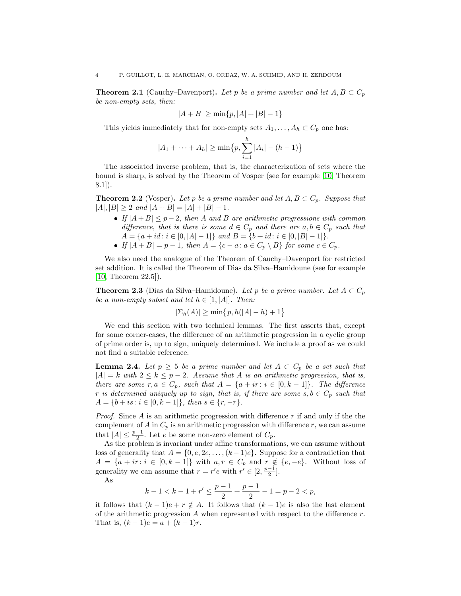<span id="page-3-0"></span>**Theorem 2.1** (Cauchy–Davenport). Let p be a prime number and let  $A, B \subset C_p$ be non-empty sets, then:

$$
|A + B| \ge \min\{p, |A| + |B| - 1\}
$$

This yields immediately that for non-empty sets  $A_1, \ldots, A_h \subset C_p$  one has:

$$
|A_1 + \dots + A_h| \ge \min\{p, \sum_{i=1}^h |A_i| - (h-1)\}
$$

The associated inverse problem, that is, the characterization of sets where the bound is sharp, is solved by the Theorem of Vosper (see for example [\[10,](#page-15-9) Theorem  $8.1$ ]).

<span id="page-3-2"></span>**Theorem 2.2** (Vosper). Let p be a prime number and let  $A, B \subset C_p$ . Suppose that  $|A|, |B| \geq 2$  and  $|A + B| = |A| + |B| - 1$ .

- If  $|A + B| \leq p-2$ , then A and B are arithmetic progressions with common difference, that is there is some  $d \in C_p$  and there are  $a, b \in C_p$  such that  $A = \{a + id : i \in [0, |A| - 1]\}$  and  $B = \{b + id : i \in [0, |B| - 1]\}.$
- If  $|A + B| = p 1$ , then  $A = \{c a : a \in C_p \setminus B\}$  for some  $c \in C_p$ .

We also need the analogue of the Theorem of Cauchy–Davenport for restricted set addition. It is called the Theorem of Dias da Silva–Hamidoune (see for example [\[10,](#page-15-9) Theorem 22.5]).

<span id="page-3-1"></span>**Theorem 2.3** (Dias da Silva–Hamidoune). Let p be a prime number. Let  $A \subset C_p$ be a non-empty subset and let  $h \in [1, |A|]$ . Then:

$$
|\Sigma_h(A)| \ge \min\{p, h(|A| - h) + 1\}
$$

We end this section with two technical lemmas. The first asserts that, except for some corner-cases, the difference of an arithmetic progression in a cyclic group of prime order is, up to sign, uniquely determined. We include a proof as we could not find a suitable reference.

<span id="page-3-3"></span>**Lemma 2.4.** Let  $p \geq 5$  be a prime number and let  $A \subset C_p$  be a set such that  $|A| = k$  with  $2 \leq k \leq p-2$ . Assume that A is an arithmetic progression, that is, there are some  $r, a \in C_p$ , such that  $A = \{a + ir : i \in [0, k-1]\}$ . The difference r is determined uniquely up to sign, that is, if there are some  $s, b \in C_p$  such that  $A = \{b + is : i \in [0, k - 1]\},\$  then  $s \in \{r, -r\}.$ 

*Proof.* Since A is an arithmetic progression with difference  $r$  if and only if the the complement of  $A$  in  $C_p$  is an arithmetic progression with difference  $r$ , we can assume that  $|A| \leq \frac{p-1}{2}$ . Let e be some non-zero element of  $C_p$ .

As the problem is invariant under affine transformations, we can assume without loss of generality that  $A = \{0, e, 2e, \ldots, (k-1)e\}$ . Suppose for a contradiction that  $A = \{a + ir : i \in [0, k-1]\}$  with  $a, r \in C_p$  and  $r \notin \{e, -e\}$ . Without loss of generality we can assume that  $r = r'e$  with  $r' \in [2, \frac{p-1}{2}]$ .

As

$$
k-1 < k-1 + r' \le \frac{p-1}{2} + \frac{p-1}{2} - 1 = p - 2 < p,
$$

it follows that  $(k-1)e + r \notin A$ . It follows that  $(k-1)e$  is also the last element of the arithmetic progression A when represented with respect to the difference  $r$ . That is,  $(k-1)e = a + (k-1)r$ .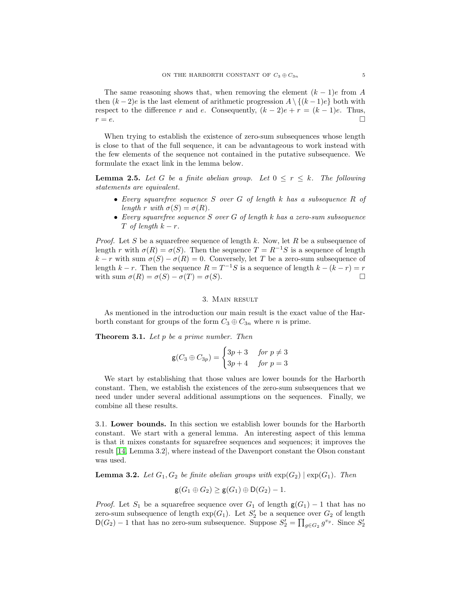The same reasoning shows that, when removing the element  $(k-1)e$  from A then  $(k-2)e$  is the last element of arithmetic progression  $A \setminus \{(k-1)e\}$  both with respect to the difference r and e. Consequently,  $(k-2)e + r = (k-1)e$ . Thus,  $r = e$ .

When trying to establish the existence of zero-sum subsequences whose length is close to that of the full sequence, it can be advantageous to work instead with the few elements of the sequence not contained in the putative subsequence. We formulate the exact link in the lemma below.

<span id="page-4-2"></span>**Lemma 2.5.** Let G be a finite abelian group. Let  $0 \leq r \leq k$ . The following statements are equivalent.

- Every squarefree sequence  $S$  over  $G$  of length  $k$  has a subsequence  $R$  of length r with  $\sigma(S) = \sigma(R)$ .
- Every squarefree sequence  $S$  over  $G$  of length  $k$  has a zero-sum subsequence T of length  $k - r$ .

*Proof.* Let S be a squarefree sequence of length k. Now, let R be a subsequence of length r with  $\sigma(R) = \sigma(S)$ . Then the sequence  $T = R^{-1}S$  is a sequence of length k – r with sum  $\sigma(S) - \sigma(R) = 0$ . Conversely, let T be a zero-sum subsequence of length  $k - r$ . Then the sequence  $R = T^{-1}S$  is a sequence of length  $k - (k - r) = r$ with sum  $\sigma(R) = \sigma(S) - \sigma(T) = \sigma(S)$ .

#### 3. Main result

As mentioned in the introduction our main result is the exact value of the Harborth constant for groups of the form  $C_3 \oplus C_{3n}$  where *n* is prime.

<span id="page-4-3"></span>**Theorem 3.1.** Let  $p$  be a prime number. Then

$$
\mathsf{g}(C_3 \oplus C_{3p}) = \begin{cases} 3p+3 & \text{for } p \neq 3 \\ 3p+4 & \text{for } p = 3 \end{cases}
$$

We start by establishing that those values are lower bounds for the Harborth constant. Then, we establish the existences of the zero-sum subsequences that we need under under several additional assumptions on the sequences. Finally, we combine all these results.

<span id="page-4-0"></span>3.1. Lower bounds. In this section we establish lower bounds for the Harborth constant. We start with a general lemma. An interesting aspect of this lemma is that it mixes constants for squarefree sequences and sequences; it improves the result [\[14,](#page-16-3) Lemma 3.2], where instead of the Davenport constant the Olson constant was used.

<span id="page-4-1"></span>**Lemma 3.2.** Let  $G_1, G_2$  be finite abelian groups with  $\exp(G_2) | \exp(G_1)$ . Then

$$
g(G_1 \oplus G_2) \ge g(G_1) \oplus D(G_2) - 1.
$$

*Proof.* Let  $S_1$  be a squarefree sequence over  $G_1$  of length  $g(G_1) - 1$  that has no zero-sum subsequence of length  $\exp(G_1)$ . Let  $S'_2$  be a sequence over  $G_2$  of length  $\mathsf{D}(G_2) - 1$  that has no zero-sum subsequence. Suppose  $S'_2 = \prod_{g \in G_2} g^{v_g}$ . Since  $S'_2$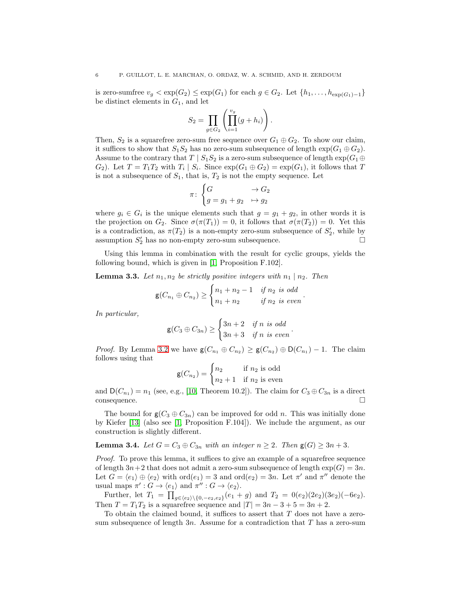is zero-sumfree  $v_q < \exp(G_2) \le \exp(G_1)$  for each  $g \in G_2$ . Let  $\{h_1, \ldots, h_{\exp(G_1)-1}\}\$ be distinct elements in  $G_1$ , and let

$$
S_2 = \prod_{g \in G_2} \left( \prod_{i=1}^{v_g} (g + h_i) \right).
$$

Then,  $S_2$  is a squarefree zero-sum free sequence over  $G_1 \oplus G_2$ . To show our claim, it suffices to show that  $S_1S_2$  has no zero-sum subsequence of length  $\exp(G_1 \oplus G_2)$ . Assume to the contrary that  $T \mid S_1 S_2$  is a zero-sum subsequence of length  $\exp(G_1 \oplus$  $G_2$ ). Let  $T = T_1 T_2$  with  $T_i | S_i$ . Since  $\exp(G_1 \oplus G_2) = \exp(G_1)$ , it follows that T is not a subsequence of  $S_1$ , that is,  $T_2$  is not the empty sequence. Let

$$
\pi\colon\begin{cases} G &\to G_2\\ g=g_1+g_2&\mapsto g_2\end{cases}
$$

where  $g_i \in G_i$  is the unique elements such that  $g = g_1 + g_2$ , in other words it is the projection on  $G_2$ . Since  $\sigma(\pi(T_1)) = 0$ , it follows that  $\sigma(\pi(T_2)) = 0$ . Yet this is a contradiction, as  $\pi(T_2)$  is a non-empty zero-sum subsequence of  $S'_2$ , while by assumption  $S'_2$  has no non-empty zero-sum subsequence.

Using this lemma in combination with the result for cyclic groups, yields the following bound, which is given in [\[1,](#page-15-2) Proposition F.102].

<span id="page-5-0"></span>**Lemma 3.3.** Let  $n_1, n_2$  be strictly positive integers with  $n_1 | n_2$ . Then

$$
\mathsf{g}(C_{n_1} \oplus C_{n_2}) \ge \begin{cases} n_1 + n_2 - 1 & \text{if } n_2 \text{ is odd} \\ n_1 + n_2 & \text{if } n_2 \text{ is even} \end{cases}.
$$

In particular,

$$
\mathsf{g}(C_3 \oplus C_{3n}) \ge \begin{cases} 3n+2 & \text{if } n \text{ is odd} \\ 3n+3 & \text{if } n \text{ is even} \end{cases}.
$$

*Proof.* By Lemma [3.2](#page-4-1) we have  $g(C_{n_1} \oplus C_{n_2}) \ge g(C_{n_2}) \oplus D(C_{n_1}) - 1$ . The claim follows using that

$$
\mathsf{g}(C_{n_2}) = \begin{cases} n_2 & \text{if } n_2 \text{ is odd} \\ n_2 + 1 & \text{if } n_2 \text{ is even} \end{cases}
$$

and  $D(C_{n_1}) = n_1$  (see, e.g., [\[10,](#page-15-9) Theorem 10.2]). The claim for  $C_3 \oplus C_{3n}$  is a direct consequence.

The bound for  $g(C_3 \oplus C_{3n})$  can be improved for odd n. This was initially done by Kiefer [\[13\]](#page-16-4) (also see [\[1,](#page-15-2) Proposition F.104]). We include the argument, as our construction is slightly different.

<span id="page-5-1"></span>**Lemma 3.4.** Let  $G = C_3 \oplus C_{3n}$  with an integer  $n \geq 2$ . Then  $g(G) \geq 3n + 3$ .

Proof. To prove this lemma, it suffices to give an example of a squarefree sequence of length  $3n+2$  that does not admit a zero-sum subsequence of length  $exp(G) = 3n$ . Let  $G = \langle e_1 \rangle \oplus \langle e_2 \rangle$  with  $\text{ord}(e_1) = 3$  and  $\text{ord}(e_2) = 3n$ . Let  $\pi'$  and  $\pi''$  denote the usual maps  $\pi' : G \to \langle e_1 \rangle$  and  $\pi'' : G \to \langle e_2 \rangle$ .

Further, let  $T_1 = \prod_{g \in \langle e_2 \rangle \setminus \{0, -e_2, e_2\}} (e_1 + g)$  and  $T_2 = 0(e_2)(2e_2)(3e_2)(-6e_2)$ . Then  $T = T_1T_2$  is a squarefree sequence and  $|T| = 3n - 3 + 5 = 3n + 2$ .

To obtain the claimed bound, it suffices to assert that T does not have a zerosum subsequence of length  $3n$ . Assume for a contradiction that T has a zero-sum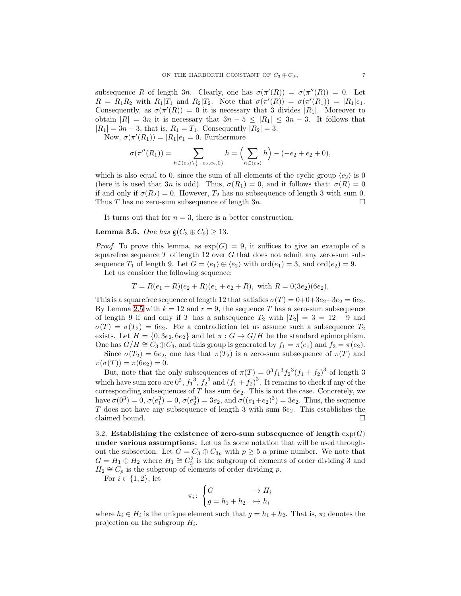subsequence R of length 3n. Clearly, one has  $\sigma(\pi'(R)) = \sigma(\pi''(R)) = 0$ . Let  $R = R_1 R_2$  with  $R_1 | T_1$  and  $R_2 | T_2$ . Note that  $\sigma(\pi'(R)) = \sigma(\pi'(R_1)) = |R_1| e_1$ . Consequently, as  $\sigma(\pi'(R)) = 0$  it is necessary that 3 divides  $|R_1|$ . Moreover to obtain  $|R| = 3n$  it is necessary that  $3n - 5 \leq |R_1| \leq 3n - 3$ . It follows that  $|R_1| = 3n - 3$ , that is,  $R_1 = T_1$ . Consequently  $|R_2| = 3$ .

Now,  $\sigma(\pi'(R_1)) = |R_1|e_1 = 0$ . Furthermore

$$
\sigma(\pi''(R_1)) = \sum_{h \in \langle e_2 \rangle \backslash \{-e_2, e_2, 0\}} h = \Bigl(\sum_{h \in \langle e_2 \rangle} h\Bigr) - (-e_2 + e_2 + 0),
$$

which is also equal to 0, since the sum of all elements of the cyclic group  $\langle e_2 \rangle$  is 0 (here it is used that 3n is odd). Thus,  $\sigma(R_1) = 0$ , and it follows that:  $\sigma(R) = 0$ if and only if  $\sigma(R_2) = 0$ . However,  $T_2$  has no subsequence of length 3 with sum 0. Thus T has no zero-sum subsequence of length  $3n$ .

It turns out that for  $n = 3$ , there is a better construction.

<span id="page-6-0"></span>Lemma 3.5. One has  $g(C_3 \oplus C_9) \geq 13$ .

*Proof.* To prove this lemma, as  $\exp(G) = 9$ , it suffices to give an example of a squarefree sequence  $T$  of length 12 over  $G$  that does not admit any zero-sum subsequence  $T_1$  of length 9. Let  $G = \langle e_1 \rangle \oplus \langle e_2 \rangle$  with  $\text{ord}(e_1) = 3$ , and  $\text{ord}(e_2) = 9$ .

Let us consider the following sequence:

$$
T = R(e_1 + R)(e_2 + R)(e_1 + e_2 + R), \text{ with } R = 0(3e_2)(6e_2),
$$

This is a squarefree sequence of length 12 that satisfies  $\sigma(T) = 0+0+3e_2+3e_2 = 6e_2$ . By Lemma [2.5](#page-4-2) with  $k = 12$  and  $r = 9$ , the sequence T has a zero-sum subsequence of length 9 if and only if T has a subsequence  $T_2$  with  $|T_2| = 3 = 12 - 9$  and  $\sigma(T) = \sigma(T_2) = 6e_2$ . For a contradiction let us assume such a subsequence  $T_2$ exists. Let  $H = \{0, 3e_2, 6e_2\}$  and let  $\pi : G \to G/H$  be the standard epimorphism. One has  $G/H \cong C_3 \oplus C_3$ , and this group is generated by  $f_1 = \pi(e_1)$  and  $f_2 = \pi(e_2)$ .

Since  $\sigma(T_2) = 6e_2$ , one has that  $\pi(T_2)$  is a zero-sum subsequence of  $\pi(T)$  and  $\pi(\sigma(T)) = \pi(6e_2) = 0.$ 

But, note that the only subsequences of  $\pi(T) = 0^3 f_1^3 f_2^3 (f_1 + f_2)^3$  of length 3 which have sum zero are  $0^3$ ,  $f_1^3$ ,  $f_2^3$  and  $(f_1 + f_2)^3$ . It remains to check if any of the corresponding subsequences of  $T$  has sum  $6e_2$ . This is not the case. Concretely, we have  $\sigma(0^3) = 0$ ,  $\sigma(e_1^3) = 0$ ,  $\sigma(e_2^3) = 3e_2$ , and  $\sigma((e_1 + e_2)^3) = 3e_2$ . Thus, the sequence T does not have any subsequence of length 3 with sum  $6e_2$ . This establishes the claimed bound.  $\hfill \square$ 

3.2. Establishing the existence of zero-sum subsequence of length  $exp(G)$ under various assumptions. Let us fix some notation that will be used throughout the subsection. Let  $G = C_3 \oplus C_{3p}$  with  $p \geq 5$  a prime number. We note that  $G = H_1 \oplus H_2$  where  $H_1 \cong C_3^2$  is the subgroup of elements of order dividing 3 and  $H_2 \cong C_p$  is the subgroup of elements of order dividing p.

For  $i \in \{1, 2\}$ , let

$$
\pi_i\colon\begin{cases} G&\to H_i\\ g=h_1+h_2&\mapsto h_i\end{cases}
$$

where  $h_i \in H_i$  is the unique element such that  $g = h_1 + h_2$ . That is,  $\pi_i$  denotes the projection on the subgroup  $H_i$ .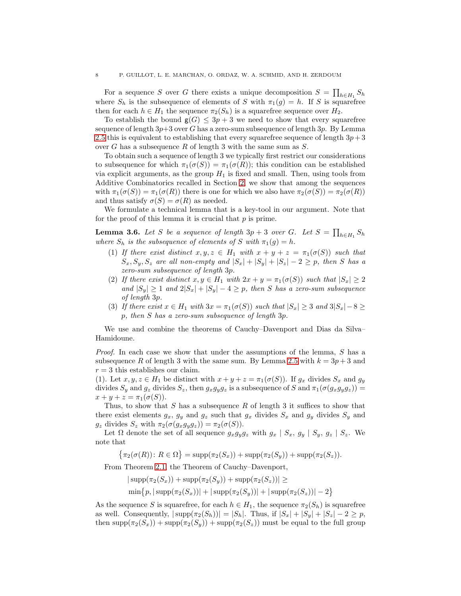For a sequence S over G there exists a unique decomposition  $S = \prod_{h \in H_1} S_h$ where  $S_h$  is the subsequence of elements of S with  $\pi_1(g) = h$ . If S is squarefree then for each  $h \in H_1$  the sequence  $\pi_2(S_h)$  is a squarefree sequence over  $H_2$ .

To establish the bound  $g(G) \leq 3p + 3$  we need to show that every squarefree sequence of length  $3p+3$  over G has a zero-sum subsequence of length  $3p$ . By Lemma [2.5](#page-4-2) this is equivalent to establishing that every squarefree sequence of length  $3p+3$ over G has a subsequence R of length 3 with the same sum as  $S$ .

To obtain such a sequence of length 3 we typically first restrict our considerations to subsequence for which  $\pi_1(\sigma(S)) = \pi_1(\sigma(R))$ ; this condition can be established via explicit arguments, as the group  $H_1$  is fixed and small. Then, using tools from Additive Combinatorics recalled in Section [2,](#page-1-0) we show that among the sequences with  $\pi_1(\sigma(S)) = \pi_1(\sigma(R))$  there is one for which we also have  $\pi_2(\sigma(S)) = \pi_2(\sigma(R))$ and thus satisfy  $\sigma(S) = \sigma(R)$  as needed.

We formulate a technical lemma that is a key-tool in our argument. Note that for the proof of this lemma it is crucial that  $p$  is prime.

<span id="page-7-0"></span>**Lemma 3.6.** Let S be a sequence of length  $3p + 3$  over G. Let  $S = \prod_{h \in H_1} S_h$ where  $S_h$  is the subsequence of elements of S with  $\pi_1(g) = h$ .

- (1) If there exist distinct  $x, y, z \in H_1$  with  $x + y + z = \pi_1(\sigma(S))$  such that  $S_x, S_y, S_z$  are all non-empty and  $|S_x| + |S_y| + |S_z| - 2 \geq p$ , then S has a zero-sum subsequence of length 3p.
- (2) If there exist distinct  $x, y \in H_1$  with  $2x + y = \pi_1(\sigma(S))$  such that  $|S_x| \geq 2$ and  $|S_y| \geq 1$  and  $2|S_x| + |S_y| - 4 \geq p$ , then S has a zero-sum subsequence of length 3p.
- (3) If there exist  $x \in H_1$  with  $3x = \pi_1(\sigma(S))$  such that  $|S_x| \geq 3$  and  $3|S_x| 8 \geq 3$ p, then S has a zero-sum subsequence of length 3p.

We use and combine the theorems of Cauchy–Davenport and Dias da Silva– Hamidoune.

Proof. In each case we show that under the assumptions of the lemma, S has a subsequence R of length 3 with the same sum. By Lemma [2.5](#page-4-2) with  $k = 3p + 3$  and  $r = 3$  this establishes our claim.

(1). Let  $x, y, z \in H_1$  be distinct with  $x + y + z = \pi_1(\sigma(S))$ . If  $g_x$  divides  $S_x$  and  $g_y$ divides  $S_y$  and  $g_z$  divides  $S_z$ , then  $g_xg_yg_z$  is a subsequence of S and  $\pi_1(\sigma(g_xg_yg_z))$  =  $x + y + z = \pi_1(\sigma(S)).$ 

Thus, to show that  $S$  has a subsequence  $R$  of length 3 it suffices to show that there exist elements  $g_x$ ,  $g_y$  and  $g_z$  such that  $g_x$  divides  $S_x$  and  $g_y$  divides  $S_y$  and  $g_z$  divides  $S_z$  with  $\pi_2(\sigma(g_xg_yg_z)) = \pi_2(\sigma(S)).$ 

Let  $\Omega$  denote the set of all sequence  $g_xg_yg_z$  with  $g_x | S_x, g_y | S_y, g_z | S_z$ . We note that

 $\{\pi_2(\sigma(R))\colon R \in \Omega\} = \text{supp}(\pi_2(S_x)) + \text{supp}(\pi_2(S_y)) + \text{supp}(\pi_2(S_z)).$ 

From Theorem [2.1,](#page-3-0) the Theorem of Cauchy–Davenport,

 $|\supp(\pi_2(S_x)) + \supp(\pi_2(S_y)) + \supp(\pi_2(S_z))| \ge$  $\min\{p, |\text{supp}(\pi_2(S_x))| + |\text{supp}(\pi_2(S_y))| + |\text{supp}(\pi_2(S_z))| - 2\}$ 

As the sequence S is squarefree, for each  $h \in H_1$ , the sequence  $\pi_2(S_h)$  is squarefree as well. Consequently,  $|\text{supp}(\pi_2(S_h))| = |S_h|$ . Thus, if  $|S_x| + |S_y| + |S_z| - 2 \geq p$ , then  $\text{supp}(\pi_2(S_x)) + \text{supp}(\pi_2(S_y)) + \text{supp}(\pi_2(S_z))$  must be equal to the full group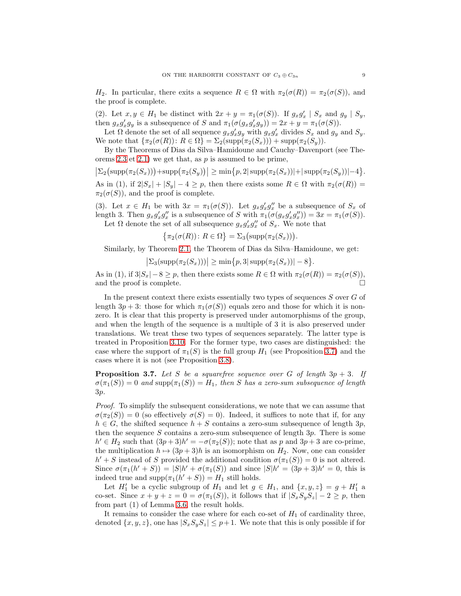$H_2$ . In particular, there exits a sequence  $R \in \Omega$  with  $\pi_2(\sigma(R)) = \pi_2(\sigma(S))$ , and the proof is complete.

(2). Let  $x, y \in H_1$  be distinct with  $2x + y = \pi_1(\sigma(S))$ . If  $g_x g'_x \mid S_x$  and  $g_y \mid S_y$ , then  $g_x g'_x g_y$  is a subsequence of S and  $\pi_1(\sigma(g_x g'_x g_y)) = 2x + y = \pi_1(\sigma(S)).$ 

Let  $\Omega$  denote the set of all sequence  $g_x g'_x g_y$  with  $g_x g'_x$  divides  $S_x$  and  $g_y$  and  $S_y$ . We note that  $\{\pi_2(\sigma(R))\colon R\in\Omega\} = \Sigma_2(\text{supp}(\pi_2(S_x))) + \text{supp}(\pi_2(S_y)).$ 

By the Theorems of Dias da Silva–Hamidoune and Cauchy–Davenport (see The-orems [2.3](#page-3-1) et [2.1\)](#page-3-0) we get that, as  $p$  is assumed to be prime,

 $\left|\Sigma_2(\text{supp}(\pi_2(S_x)))+\text{supp}(\pi_2(S_y))\right| \geq \min\{p, 2|\text{supp}(\pi_2(S_x))|+|\text{supp}(\pi_2(S_y))|-4\}.$ As in (1), if  $2|S_x| + |S_y| - 4 \ge p$ , then there exists some  $R \in \Omega$  with  $\pi_2(\sigma(R)) =$  $\pi_2(\sigma(S))$ , and the proof is complete.

(3). Let  $x \in H_1$  be with  $3x = \pi_1(\sigma(S))$ . Let  $g_x g'_x g''_x$  be a subsequence of  $S_x$  of length 3. Then  $g_x g'_x g''_x$  is a subsequence of S with  $\pi_1(\sigma(g_x g'_x g''_x)) = 3x = \pi_1(\sigma(S)).$ Let  $\Omega$  denote the set of all subsequence  $g_x g'_x g''_x$  of  $S_x$ . We note that

$$
\{\pi_2(\sigma(R))\colon R\in\Omega\}=\Sigma_3\big(\mathrm{supp}(\pi_2(S_x))\big).
$$

Similarly, by Theorem [2.1,](#page-3-0) the Theorem of Dias da Silva–Hamidoune, we get:

 $\big|\Sigma_3(\text{supp}(\pi_2(S_x)))\big| \ge \min\big\{p, 3|\, \text{supp}(\pi_2(S_x))| - 8\big\}.$ 

As in (1), if  $3|S_x| - 8 \ge p$ , then there exists some  $R \in \Omega$  with  $\pi_2(\sigma(R)) = \pi_2(\sigma(S))$ , and the proof is complete.  $\Box$ 

In the present context there exists essentially two types of sequences  $S$  over  $G$  of length  $3p + 3$ : those for which  $\pi_1(\sigma(S))$  equals zero and those for which it is nonzero. It is clear that this property is preserved under automorphisms of the group, and when the length of the sequence is a multiple of 3 it is also preserved under translations. We treat these two types of sequences separately. The latter type is treated in Proposition [3.10.](#page-11-0) For the former type, two cases are distinguished: the case where the support of  $\pi_1(S)$  is the full group  $H_1$  (see Proposition [3.7\)](#page-8-0) and the cases where it is not (see Proposition [3.8\)](#page-10-0).

<span id="page-8-0"></span>**Proposition 3.7.** Let S be a squarefree sequence over G of length  $3p + 3$ . If  $\sigma(\pi_1(S)) = 0$  and supp $(\pi_1(S)) = H_1$ , then S has a zero-sum subsequence of length 3p.

Proof. To simplify the subsequent considerations, we note that we can assume that  $\sigma(\pi_2(S)) = 0$  (so effectively  $\sigma(S) = 0$ ). Indeed, it suffices to note that if, for any  $h \in G$ , the shifted sequence  $h + S$  contains a zero-sum subsequence of length  $3p$ , then the sequence S contains a zero-sum subsequence of length  $3p$ . There is some  $h' \in H_2$  such that  $(3p+3)h' = -\sigma(\pi_2(S))$ ; note that as p and  $3p+3$  are co-prime, the multiplication  $h \mapsto (3p + 3)h$  is an isomorphism on  $H_2$ . Now, one can consider  $h' + S$  instead of S provided the additional condition  $\sigma(\pi_1(S)) = 0$  is not altered. Since  $\sigma(\pi_1(h'+S)) = |S|h' + \sigma(\pi_1(S))$  and since  $|S|h' = (3p+3)h' = 0$ , this is indeed true and  $\text{supp}(\pi_1(h'+S)) = H_1$  still holds.

Let  $H'_1$  be a cyclic subgroup of  $H_1$  and let  $g \in H_1$ , and  $\{x, y, z\} = g + H'_1$  a co-set. Since  $x + y + z = 0 = \sigma(\pi_1(S))$ , it follows that if  $|S_xS_yS_z| - 2 \geq p$ , then from part (1) of Lemma [3.6,](#page-7-0) the result holds.

It remains to consider the case where for each co-set of  $H_1$  of cardinality three, denoted  $\{x, y, z\}$ , one has  $|S_xS_yS_z| \leq p+1$ . We note that this is only possible if for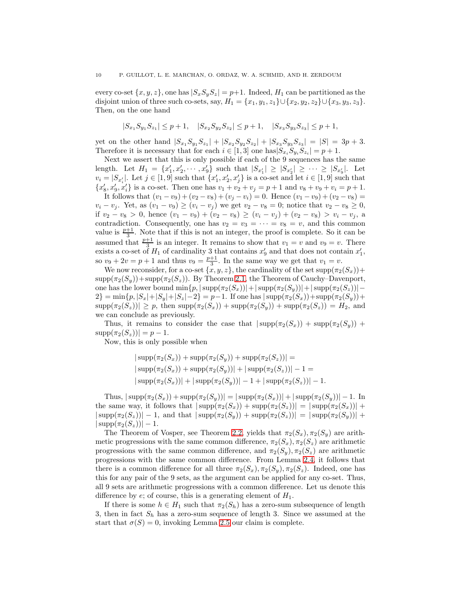every co-set  $\{x, y, z\}$ , one has  $|S_xS_yS_z| = p+1$ . Indeed,  $H_1$  can be partitioned as the disjoint union of three such co-sets, say,  $H_1 = \{x_1, y_1, z_1\} \cup \{x_2, y_2, z_2\} \cup \{x_3, y_3, z_3\}.$ Then, on the one hand

$$
|S_{x_1}S_{y_1}S_{z_1}| \leq p+1, \quad |S_{x_2}S_{y_2}S_{z_2}| \leq p+1, \quad |S_{x_3}S_{y_3}S_{z_3}| \leq p+1,
$$

yet on the other hand  $|S_{x_1}S_{y_1}S_{z_1}| + |S_{x_2}S_{y_2}S_{z_2}| + |S_{x_3}S_{y_3}S_{z_3}| = |S| = 3p + 3.$ Therefore it is necessary that for each  $i \in [1,3]$  one has  $|S_{x_i}S_{y_i}S_{z_i}| = p+1$ .

Next we assert that this is only possible if each of the 9 sequences has the same length. Let  $H_1 = \{x'_1, x'_2, \dots, x'_9\}$  such that  $|S_{x'_1}| \geq |S_{x'_2}| \geq \dots \geq |S_{x'_9}|$ . Let  $v_i = |S_{x'_i}|.$  Let  $j \in [1, 9]$  such that  $\{x'_1, x'_2, x'_j\}$  is a co-set and let  $i \in [1, 9]$  such that  ${x'_8, x'_9, x'_4}$  is a co-set. Then one has  $v_1 + v_2 + v_3 = p + 1$  and  $v_8 + v_9 + v_4 = p + 1$ .

It follows that  $(v_1 - v_9) + (v_2 - v_8) + (v_j - v_i) = 0$ . Hence  $(v_1 - v_9) + (v_2 - v_8) =$  $v_i - v_j$ . Yet, as  $(v_1 - v_9) \ge (v_i - v_j)$  we get  $v_2 - v_8 = 0$ ; notice that  $v_2 - v_8 \ge 0$ , if  $v_2 - v_8 > 0$ , hence  $(v_1 - v_9) + (v_2 - v_8) \ge (v_i - v_j) + (v_2 - v_8) > v_i - v_j$ , a contradiction. Consequently, one has  $v_2 = v_3 = \cdots = v_8 = v$ , and this common value is  $\frac{p+1}{3}$ . Note that if this is not an integer, the proof is complete. So it can be assumed that  $\frac{p+1}{3}$  is an integer. It remains to show that  $v_1 = v$  and  $v_9 = v$ . There exists a co-set of  $H_1$  of cardinality 3 that contains  $x'_9$  and that does not contain  $x'_1$ , so  $v_9 + 2v = p + 1$  and thus  $v_9 = \frac{p+1}{3}$ . In the same way we get that  $v_1 = v$ .

We now reconsider, for a co-set  $\{x, y, z\}$ , the cardinality of the set  $\text{supp}(\pi_2(S_x))$ +  $\text{supp}(\pi_2(S_y)) + \text{supp}(\pi_2(S_z))$ . By Theorem [2.1,](#page-3-0) the Theorem of Cauchy–Davenport, one has the lower bound  $\min\{p, |\text{supp}(\pi_2(S_x))|+|\text{supp}(\pi_2(S_y))|+|\text{supp}(\pi_2(S_z))|-\}$  $2$ } = min{p,  $|S_x|+|S_y|+|S_z|-2$ } = p-1. If one has  $|\text{supp}(\pi_2(S_x))+\text{supp}(\pi_2(S_y))+$  $\text{supp}(\pi_2(S_z)) \geq p$ , then  $\text{supp}(\pi_2(S_x)) + \text{supp}(\pi_2(S_y)) + \text{supp}(\pi_2(S_z)) = H_2$ , and we can conclude as previously.

Thus, it remains to consider the case that  $|\text{supp}(\pi_2(S_x))| + \text{supp}(\pi_2(S_y))| +$  $\text{supp}(\pi_2(S_z)) = p - 1.$ 

Now, this is only possible when

$$
|\supp(\pi_2(S_x)) + \supp(\pi_2(S_y)) + \supp(\pi_2(S_z))| =
$$
  
\n
$$
|\supp(\pi_2(S_x)) + \supp(\pi_2(S_y))| + |\supp(\pi_2(S_z))| - 1 =
$$
  
\n
$$
|\supp(\pi_2(S_x))| + |\supp(\pi_2(S_y))| - 1 + |\supp(\pi_2(S_z))| - 1.
$$

Thus,  $|\text{supp}(\pi_2(S_x)) + \text{supp}(\pi_2(S_y))| = |\text{supp}(\pi_2(S_x))| + |\text{supp}(\pi_2(S_y))| - 1$ . In the same way, it follows that  $|\text{supp}(\pi_2(S_x)) + \text{supp}(\pi_2(S_z))| = |\text{supp}(\pi_2(S_x))| +$  $|\supp(\pi_2(S_z))| - 1$ , and that  $|\supp(\pi_2(S_y))| + \supp(\pi_2(S_z))| = |\supp(\pi_2(S_y))| +$  $|\supp(\pi_2(S_z))| - 1.$ 

The Theorem of Vosper, see Theorem [2.2,](#page-3-2) yields that  $\pi_2(S_x), \pi_2(S_y)$  are arithmetic progressions with the same common difference,  $\pi_2(S_x)$ ,  $\pi_2(S_z)$  are arithmetic progressions with the same common difference, and  $\pi_2(S_y), \pi_2(S_z)$  are arithmetic progressions with the same common difference. From Lemma [2.4,](#page-3-3) it follows that there is a common difference for all three  $\pi_2(S_x), \pi_2(S_y), \pi_2(S_z)$ . Indeed, one has this for any pair of the 9 sets, as the argument can be applied for any co-set. Thus, all 9 sets are arithmetic progressions with a common difference. Let us denote this difference by  $e$ ; of course, this is a generating element of  $H_1$ .

If there is some  $h \in H_1$  such that  $\pi_2(S_h)$  has a zero-sum subsequence of length 3, then in fact  $S_h$  has a zero-sum sequence of length 3. Since we assumed at the start that  $\sigma(S) = 0$ , invoking Lemma [2.5](#page-4-2) our claim is complete.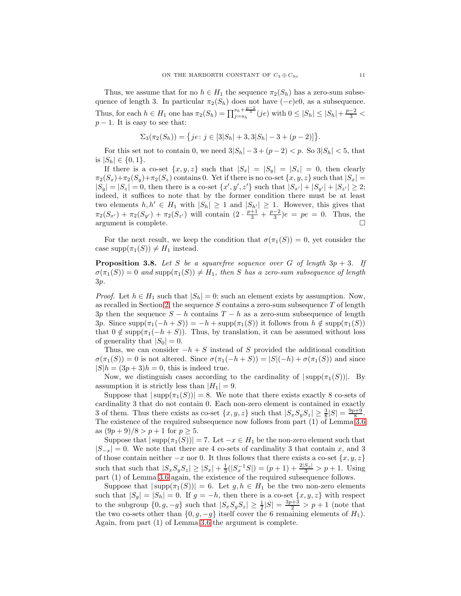Thus, we assume that for no  $h \in H_1$  the sequence  $\pi_2(S_h)$  has a zero-sum subsequence of length 3. In particular  $\pi_2(S_h)$  does not have  $(-e)e0$ , as a subsequence. Thus, for each  $h \in H_1$  one has  $\pi_2(S_h) = \prod_{j=s_h}^{s_h + \frac{p-2}{3}} (je)$  with  $0 \leq |S_h| \leq |S_h| + \frac{p-2}{3}$  $p-1$ . It is easy to see that:

$$
\Sigma_3(\pi_2(S_h)) = \{ je : j \in [3|S_h| + 3, 3|S_h| - 3 + (p-2)] \}.
$$

For this set not to contain 0, we need  $3|S_h| - 3 + (p-2) < p$ . So  $3|S_h| < 5$ , that is  $|S_h| \in \{0,1\}.$ 

If there is a co-set  $\{x, y, z\}$  such that  $|S_x| = |S_y| = |S_z| = 0$ , then clearly  $\pi_2(S_x)+\pi_2(S_y)+\pi_2(S_z)$  contains 0. Yet if there is no co-set  $\{x, y, z\}$  such that  $|S_x|$  =  $|S_y| = |S_z| = 0$ , then there is a co-set  $\{x', y', z'\}$  such that  $|S_{x'}| + |S_{y'}| + |S_{z'}| \geq 2$ ; indeed, it suffices to note that by the former condition there must be at least two elements  $h, h' \in H_1$  with  $|S_h| \geq 1$  and  $|S_{h'}| \geq 1$ . However, this gives that  $\pi_2(S_{x'}) + \pi_2(S_{y'}) + \pi_2(S_{z'})$  will contain  $(2 \cdot \frac{p+1}{3} + \frac{p-2}{3})e = pe = 0$ . Thus, the argument is complete.  $\hfill \square$ 

For the next result, we keep the condition that  $\sigma(\pi_1(S)) = 0$ , yet consider the case supp $(\pi_1(S)) \neq H_1$  instead.

<span id="page-10-0"></span>**Proposition 3.8.** Let S be a squarefree sequence over G of length  $3p + 3$ . If  $\sigma(\pi_1(S)) = 0$  and supp $(\pi_1(S)) \neq H_1$ , then S has a zero-sum subsequence of length 3p.

*Proof.* Let  $h \in H_1$  such that  $|S_h| = 0$ ; such an element exists by assumption. Now, as recalled in Section [2,](#page-1-0) the sequence  $S$  contains a zero-sum subsequence  $T$  of length 3p then the sequence  $S - h$  contains  $T - h$  as a zero-sum subsequence of length 3p. Since  $\text{supp}(\pi_1(-h + S)) = -h + \text{supp}(\pi_1(S))$  it follows from  $h \notin \text{supp}(\pi_1(S))$ that  $0 \notin \text{supp}(\pi_1(-h + S))$ . Thus, by translation, it can be assumed without loss of generality that  $|S_0| = 0$ .

Thus, we can consider  $-h + S$  instead of S provided the additional condition  $\sigma(\pi_1(S)) = 0$  is not altered. Since  $\sigma(\pi_1(-h+S)) = |S|(-h) + \sigma(\pi_1(S))$  and since  $|S|h = (3p + 3)h = 0$ , this is indeed true.

Now, we distinguish cases according to the cardinality of  $|\text{supp}(\pi_1(S))|$ . By assumption it is strictly less than  $|H_1| = 9$ .

Suppose that  $|\text{supp}(\pi_1(S))| = 8$ . We note that there exists exactly 8 co-sets of cardinality 3 that do not contain 0. Each non-zero element is contained in exactly 3 of them. Thus there exists as co-set  $\{x, y, z\}$  such that  $|S_xS_yS_z| \ge \frac{3}{8}|S| = \frac{9p+9}{8}$ . The existence of the required subsequence now follows from part (1) of Lemma [3.6](#page-7-0) as  $(9p+9)/8 > p+1$  for  $p \ge 5$ .

Suppose that  $|\text{supp}(\pi_1(S))| = 7$ . Let  $-x \in H_1$  be the non-zero element such that  $|S_{-x}| = 0$ . We note that there are 4 co-sets of cardinality 3 that contain x, and 3 of those contain neither  $-x$  nor 0. It thus follows that there exists a co-set  $\{x, y, z\}$ such that such that  $|S_xS_yS_z| \ge |S_x| + \frac{1}{3}(|S_x^{-1}S|) = (p+1) + \frac{2|S_x|}{3} > p+1$ . Using part (1) of Lemma [3.6](#page-7-0) again, the existence of the required subsequence follows.

Suppose that  $|\text{supp}(\pi_1(S))| = 6$ . Let  $g, h \in H_1$  be the two non-zero elements such that  $|S_g| = |S_h| = 0$ . If  $g = -h$ , then there is a co-set  $\{x, y, z\}$  with respect to the subgroup  $\{0, g, -g\}$  such that  $|S_x S_y S_z| \geq \frac{1}{2}|S| = \frac{3p+3}{2} > p+1$  (note that the two co-sets other than  $\{0, g, -g\}$  itself cover the 6 remaining elements of  $H_1$ ). Again, from part (1) of Lemma [3.6](#page-7-0) the argument is complete.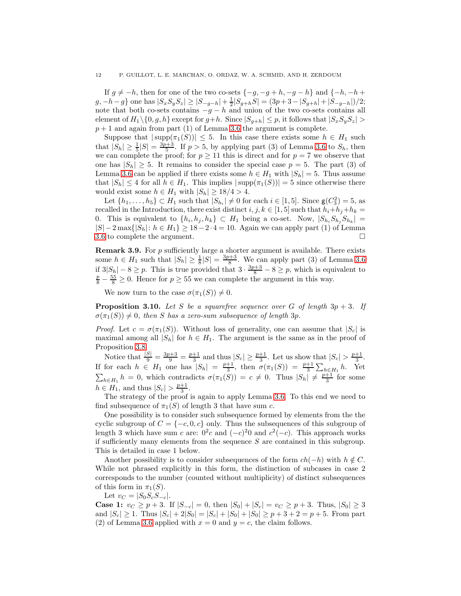If  $g \neq -h$ , then for one of the two co-sets  $\{-g, -g+h, -g-h\}$  and  $\{-h, -h+h\}$  $g, -h-g$ } one has  $|S_xS_yS_z| \ge |S_{-g-h}| + \frac{1}{2}|S_{g+h}S| = (3p+3-|S_{g+h}|+|S_{-g-h}|)/2;$ note that both co-sets contains  $-g - h$  and union of the two co-sets contains all element of  $H_1 \setminus \{0, g, h\}$  except for  $g+h$ . Since  $|S_{g+h}| \leq p$ , it follows that  $|S_xS_yS_z| >$  $p + 1$  and again from part (1) of Lemma [3.6](#page-7-0) the argument is complete.

Suppose that  $|\text{supp}(\pi_1(S))| \leq 5$ . In this case there exists some  $h \in H_1$  such that  $|S_h| \ge \frac{1}{5}|S| = \frac{3p+3}{5}$ . If  $p > 5$ , by applying part (3) of Lemma [3.6](#page-7-0) to  $S_h$ , then we can complete the proof; for  $p \ge 11$  this is direct and for  $p = 7$  we observe that one has  $|S_h| \geq 5$ . It remains to consider the special case  $p = 5$ . The part (3) of Lemma [3.6](#page-7-0) can be applied if there exists some  $h \in H_1$  with  $|S_h| = 5$ . Thus assume that  $|S_h| \leq 4$  for all  $h \in H_1$ . This implies  $|\text{supp}(\pi_1(S))| = 5$  since otherwise there would exist some  $h \in H_1$  with  $|S_h| \geq 18/4 > 4$ .

Let  $\{h_1, \ldots, h_5\} \subset H_1$  such that  $|S_{h_i}| \neq 0$  for each  $i \in [1, 5]$ . Since  $\mathsf{g}(C_3^2) = 5$ , as recalled in the Introduction, there exist distinct  $i, j, k \in [1, 5]$  such that  $h_i + h_j + h_k =$ 0. This is equivalent to  $\{h_i, h_j, h_k\} \subset H_1$  being a co-set. Now,  $|S_{h_i}S_{h_j}S_{h_k}| =$  $|S| - 2 \max\{|S_h|: h \in H_1\} \ge 18 - 2 \cdot 4 = 10$ . Again we can apply part (1) of Lemma [3.6](#page-7-0) to complete the argument.

**Remark 3.9.** For  $p$  sufficiently large a shorter argument is available. There exists some  $h \in H_1$  such that  $|S_h| \geq \frac{1}{8}|S| = \frac{3p+3}{8}$ . We can apply part (3) of Lemma [3.6](#page-7-0) if  $3|S_h| - 8 \ge p$ . This is true provided that  $3 \cdot \frac{3p+3}{8} - 8 \ge p$ , which is equivalent to  $\frac{p}{8} - \frac{55}{8} \ge 0$ . Hence for  $p \ge 55$  we can complete the argument in this way.

We now turn to the case  $\sigma(\pi_1(S)) \neq 0$ .

<span id="page-11-0"></span>**Proposition 3.10.** Let S be a squarefree sequence over G of length  $3p + 3$ . If  $\sigma(\pi_1(S)) \neq 0$ , then S has a zero-sum subsequence of length 3p.

*Proof.* Let  $c = \sigma(\pi_1(S))$ . Without loss of generality, one can assume that  $|S_c|$  is maximal among all  $|S_h|$  for  $h \in H_1$ . The argument is the same as in the proof of Proposition [3.8.](#page-10-0)

Notice that  $\frac{|S|}{9} = \frac{3p+3}{9} = \frac{p+1}{3}$  and thus  $|S_c| \ge \frac{p+1}{3}$ . Let us show that  $|S_c| > \frac{p+1}{3}$ . If for each  $h \in H_1$  one has  $|S_h| = \frac{p+1}{3}$ , then  $\sigma(\pi_1(S)) = \frac{p+1}{3} \sum_{h \in H_1} h$ . Yet  $\sum_{h\in H_1} h = 0$ , which contradicts  $\sigma(\pi_1(S)) = c \neq 0$ . Thus  $|S_h| \neq \frac{p+1}{3}$  for some  $h \in H_1$ , and thus  $|S_c| > \frac{p+1}{3}$ .

The strategy of the proof is again to apply Lemma [3.6.](#page-7-0) To this end we need to find subsequence of  $\pi_1(S)$  of length 3 that have sum c.

One possibility is to consider such subsequence formed by elements from the the cyclic subgroup of  $C = \{-c, 0, c\}$  only. Thus the subsequences of this subgroup of length 3 which have sum c are:  $0^2c$  and  $(-c)^20$  and  $c^2(-c)$ . This approach works if sufficiently many elements from the sequence  $S$  are contained in this subgroup. This is detailed in case 1 below.

Another possibility is to consider subsequences of the form  $ch(-h)$  with  $h \notin C$ . While not phrased explicitly in this form, the distinction of subcases in case 2 corresponds to the number (counted without multiplicity) of distinct subsequences of this form in  $\pi_1(S)$ .

Let  $v_C = |S_0 S_c S_{-c}|$ .

**Case 1:**  $v_C \ge p + 3$ . If  $|S_{-c}| = 0$ , then  $|S_0| + |S_c| = v_C \ge p + 3$ . Thus,  $|S_0| \ge 3$ and  $|S_c| \geq 1$ . Thus  $|S_c| + 2|S_0| = |S_c| + |S_0| + |S_0| \geq p + 3 + 2 = p + 5$ . From part (2) of Lemma [3.6](#page-7-0) applied with  $x = 0$  and  $y = c$ , the claim follows.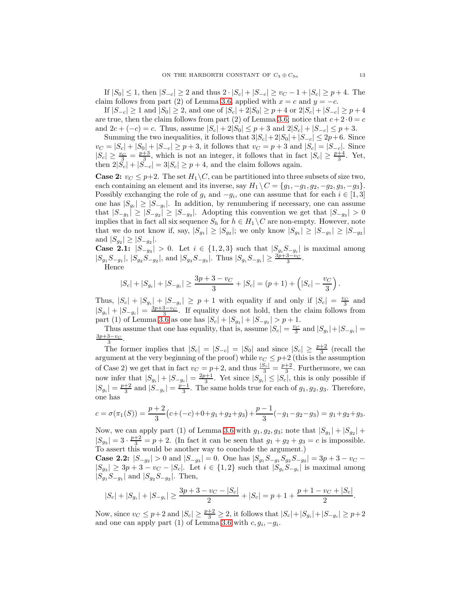If  $|S_0|$  ≤ 1, then  $|S_{-c}| \geq 2$  and thus  $2 \cdot |S_c| + |S_{-c}| \geq v_C - 1 + |S_c| \geq p + 4$ . The claim follows from part (2) of Lemma [3.6,](#page-7-0) applied with  $x = c$  and  $y = -c$ .

If  $|S_{-c}| \ge 1$  and  $|S_0| \ge 2$ , and one of  $|S_c| + 2|S_0| \ge p + 4$  or  $2|S_c| + |S_{-c}| \ge p + 4$ are true, then the claim follows from part (2) of Lemma [3.6;](#page-7-0) notice that  $c+2\cdot 0 = c$ and  $2c + (-c) = c$ . Thus, assume  $|S_c| + 2|S_0| \leq p+3$  and  $2|S_c| + |S_{-c}| \leq p+3$ .

Summing the two inequalities, it follows that  $3|S_c| + 2|S_0| + |S_{-c}| \leq 2p+6$ . Since  $v_C = |S_c| + |S_0| + |S_{-c}| \geq p + 3$ , it follows that  $v_C = p + 3$  and  $|S_c| = |S_{-c}|$ . Since  $|S_c| \geq \frac{v_C}{3} = \frac{p+3}{3}$ , which is not an integer, it follows that in fact  $|S_c| \geq \frac{p+4}{3}$ . Yet, then  $2|S_c| + |S_{-c}| = 3|S_c| \geq p+4$ , and the claim follows again.

**Case 2:**  $v_C \leq p+2$ . The set  $H_1 \backslash C$ , can be partitioned into three subsets of size two, each containing an element and its inverse, say  $H_1 \backslash C = \{g_1, -g_1, g_2, -g_2, g_3, -g_3\}.$ Possibly exchanging the role of  $g_i$  and  $-g_i$ , one can assume that for each  $i \in [1,3]$ one has  $|S_{g_i}| \geq |S_{-g_i}|$ . In addition, by renumbering if necessary, one can assume that  $|S_{-g_1}| \geq |S_{-g_2}| \geq |S_{-g_3}|$ . Adopting this convention we get that  $|S_{-g_3}| > 0$ implies that in fact all six sequence  $S_h$  for  $h \in H_1 \setminus C$  are non-empty. However, note that we do not know if, say,  $|S_{g_1}| \geq |S_{g_2}|$ ; we only know  $|S_{g_1}| \geq |S_{-g_1}| \geq |S_{-g_2}|$ and  $|S_{g_2}| \geq |S_{-g_2}|$ .

**Case 2.1:**  $|S_{-g_3}| > 0$ . Let  $i \in \{1,2,3\}$  such that  $|S_{g_i}S_{-g_i}|$  is maximal among  $|S_{g_1}S_{-g_1}|, |S_{g_2}S_{-g_2}|,$  and  $|S_{g_3}S_{-g_3}|$ . Thus  $|S_{g_i}S_{-g_i}| \ge \frac{3p+3-v_C}{3}$ .

Hence

$$
|S_c| + |S_{g_i}| + |S_{-g_i}| \ge \frac{3p+3-v_C}{3} + |S_c| = (p+1) + (|S_c| - \frac{v_C}{3}).
$$

Thus,  $|S_c| + |S_{g_i}| + |S_{-g_i}| \geq p+1$  with equality if and only if  $|S_c| = \frac{v_C}{3}$  and  $|S_{g_i}| + |S_{-g_i}| = \frac{3p+3-v_C}{3}$ . If equality does not hold, then the claim follows from part (1) of Lemma [3.6](#page-7-0) as one has  $|S_c| + |S_{g_1}| + |S_{-g_1}| > p + 1$ .

Thus assume that one has equality, that is, assume  $|S_c| = \frac{v_C}{3}$  and  $|S_{g_i}| + |S_{-g_i}| =$  $\frac{3p+3-v_C}{3}$ .

The former implies that  $|S_c| = |S_{-c}| = |S_0|$  and since  $|S_c| \geq \frac{p+2}{3}$  (recall the argument at the very beginning of the proof) while  $v<sub>C</sub> \leq p+2$  (this is the assumption of Case 2) we get that in fact  $v_C = p+2$ , and thus  $\frac{|S_c|}{3} = \frac{p+2}{3}$ . Furthermore, we can now infer that  $|S_{g_i}| + |S_{-g_i}| = \frac{2p+1}{3}$ . Yet since  $|S_{g_i}| \leq |S_c|$ , this is only possible if  $|S_{g_i}| = \frac{p+2}{3}$  and  $|S_{-g_i}| = \frac{p-1}{3}$ . The same holds true for each of  $g_1, g_2, g_3$ . Therefore, one has

$$
c = \sigma(\pi_1(S)) = \frac{p+2}{3}(c+(-c)+0+g_1+g_2+g_3) + \frac{p-1}{3}(-g_1-g_2-g_3) = g_1+g_2+g_3.
$$

Now, we can apply part (1) of Lemma [3.6](#page-7-0) with  $g_1, g_2, g_3$ ; note that  $|S_{g_1}| + |S_{g_2}| +$  $|S_{g_3}| = 3 \cdot \frac{p+2}{3} = p+2$ . (In fact it can be seen that  $g_1 + g_2 + g_3 = c$  is impossible. To assert this would be another way to conclude the argument.)

**Case 2.2:**  $|S_{-g_2}| > 0$  and  $|S_{-g_3}| = 0$ . One has  $|S_{g_1}S_{-g_1}S_{g_2}S_{-g_2}| = 3p + 3 - v_C$  $|S_{g_3}| \geq 3p + 3 - v_C - |S_c|$ . Let  $i \in \{1,2\}$  such that  $|S_{g_i}S_{-g_i}|$  is maximal among  $|S_{g_1}S_{-g_1}|$  and  $|S_{g_2}S_{-g_2}|$ . Then,

$$
|S_c| + |S_{g_i}| + |S_{-g_i}| \ge \frac{3p + 3 - v_C - |S_c|}{2} + |S_c| = p + 1 + \frac{p + 1 - v_C + |S_c|}{2}.
$$

Now, since  $v_C \leq p+2$  and  $|S_c| \geq \frac{p+2}{3} \geq 2$ , it follows that  $|S_c| + |S_{g_i}| + |S_{-g_i}| \geq p+2$ and one can apply part (1) of Lemma [3.6](#page-7-0) with  $c, g_i, -g_i$ .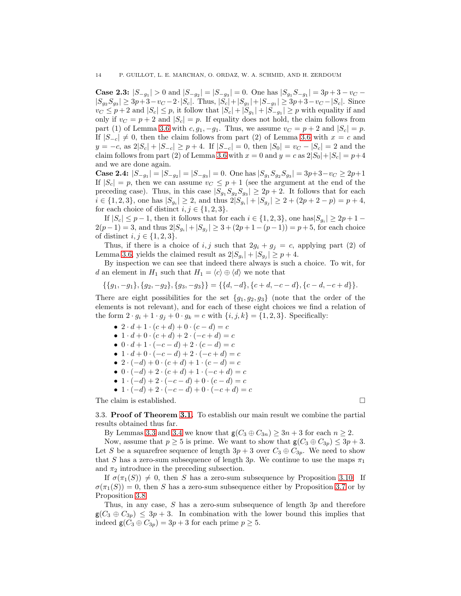**Case 2.3:**  $|S_{-g_1}| > 0$  and  $|S_{-g_2}| = |S_{-g_3}| = 0$ . One has  $|S_{g_1}S_{-g_1}| = 3p + 3 - v_C$  $|S_{g_2}S_{g_3}|\geq 3p+3-v_C-2\cdot|S_c|$ . Thus,  $|S_c|+|S_{g_1}|+|S_{-g_1}|\geq 3p+3-v_C-|S_c|$ . Since  $v_C \leq p+2$  and  $|S_c| \leq p$ , it follow that  $|S_c| + |S_{g_1}| + |S_{g_2}| \geq p$  with equality if and only if  $v_C = p + 2$  and  $|S_c| = p$ . If equality does not hold, the claim follows from part (1) of Lemma [3.6](#page-7-0) with  $c, g_1, -g_1$ . Thus, we assume  $v_C = p + 2$  and  $|S_c| = p$ . If  $|S_{-c}| \neq 0$ , then the claim follows from part (2) of Lemma [3.6](#page-7-0) with  $x = c$  and  $y = -c$ , as  $2|S_c| + |S_{-c}| \geq p+4$ . If  $|S_{-c}| = 0$ , then  $|S_0| = v_C - |S_c| = 2$  and the claim follows from part (2) of Lemma [3.6](#page-7-0) with  $x = 0$  and  $y = c$  as  $2|S_0|+|S_c| = p+4$ and we are done again.

Case 2.4:  $|S_{-g_1}| = |S_{-g_2}| = |S_{-g_3}| = 0$ . One has  $|S_{g_1}S_{g_2}S_{g_3}| = 3p+3-v_C \ge 2p+1$ If  $|S_c| = p$ , then we can assume  $v_C \leq p+1$  (see the argument at the end of the preceding case). Thus, in this case  $|S_{g_1}S_{g_2}S_{g_3}| \geq 2p+2$ . It follows that for each  $i \in \{1, 2, 3\}$ , one has  $|S_{g_i}| \geq 2$ , and thus  $2|S_{g_i}| + |S_{g_j}| \geq 2 + (2p + 2 - p) = p + 4$ , for each choice of distinct  $i, j \in \{1, 2, 3\}.$ 

If  $|S_c| \leq p-1$ , then it follows that for each  $i \in \{1, 2, 3\}$ , one has  $|S_{g_i}| \geq 2p+1$  $2(p-1) = 3$ , and thus  $2|S_{g_i}| + |S_{g_j}| \geq 3 + (2p+1-(p-1)) = p+5$ , for each choice of distinct  $i, j \in \{1, 2, 3\}$ .

Thus, if there is a choice of i, j such that  $2g_i + g_j = c$ , applying part (2) of Lemma [3.6,](#page-7-0) yields the claimed result as  $2|S_{g_i}|+|S_{g_j}| \geq p+4$ .

By inspection we can see that indeed there always is such a choice. To wit, for d an element in  $H_1$  such that  $H_1 = \langle c \rangle \oplus \langle d \rangle$  we note that

$$
\{\{g_1, -g_1\}, \{g_2, -g_2\}, \{g_3, -g_3\}\} = \{\{d, -d\}, \{c+d, -c-d\}, \{c-d, -c+d\}\}.
$$

There are eight possibilities for the set  ${g_1, g_2, g_3}$  (note that the order of the elements is not relevant), and for each of these eight choices we find a relation of the form  $2 \cdot g_i + 1 \cdot g_j + 0 \cdot g_k = c$  with  $\{i, j, k\} = \{1, 2, 3\}$ . Specifically:

- $2 \cdot d + 1 \cdot (c + d) + 0 \cdot (c d) = c$
- $1 \cdot d + 0 \cdot (c + d) + 2 \cdot (-c + d) = c$
- $0 \cdot d + 1 \cdot (-c d) + 2 \cdot (c d) = c$
- $1 \cdot d + 0 \cdot (-c d) + 2 \cdot (-c + d) = c$
- 2 ·  $(-d) + 0$  ·  $(c + d) + 1$  ·  $(c d) = c$
- $0 \cdot (-d) + 2 \cdot (c + d) + 1 \cdot (-c + d) = c$
- $1 \cdot (-d) + 2 \cdot (-c d) + 0 \cdot (c d) = c$
- $1 \cdot (-d) + 2 \cdot (-c d) + 0 \cdot (-c + d) = c$

The claim is established.  $\square$ 

3.3. Proof of Theorem [3.1.](#page-4-3) To establish our main result we combine the partial results obtained thus far.

By Lemmas [3.3](#page-5-0) and [3.4](#page-5-1) we know that  $g(C_3 \oplus C_{3n}) \geq 3n + 3$  for each  $n \geq 2$ .

Now, assume that  $p \geq 5$  is prime. We want to show that  $g(C_3 \oplus C_{3p}) \leq 3p + 3$ . Let S be a squarefree sequence of length  $3p + 3$  over  $C_3 \oplus C_{3p}$ . We need to show that S has a zero-sum subsequence of length  $3p$ . We continue to use the maps  $\pi_1$ and  $\pi_2$  introduce in the preceding subsection.

If  $\sigma(\pi_1(S)) \neq 0$ , then S has a zero-sum subsequence by Proposition [3.10.](#page-11-0) If  $\sigma(\pi_1(S)) = 0$ , then S has a zero-sum subsequence either by Proposition [3.7](#page-8-0) or by Proposition [3.8.](#page-10-0)

Thus, in any case, S has a zero-sum subsequence of length 3p and therefore  $g(C_3 \oplus C_{3p}) \leq 3p+3$ . In combination with the lower bound this implies that indeed  $g(C_3 \oplus C_{3p}) = 3p + 3$  for each prime  $p \ge 5$ .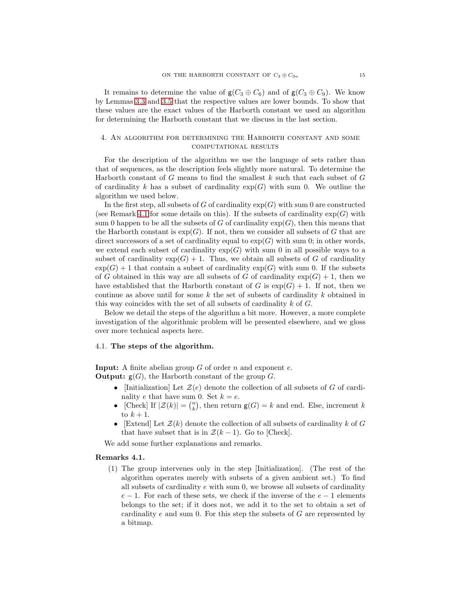It remains to determine the value of  $g(C_3 \oplus C_6)$  and of  $g(C_3 \oplus C_9)$ . We know by Lemmas [3.3](#page-5-0) and [3.5](#page-6-0) that the respective values are lower bounds. To show that these values are the exact values of the Harborth constant we used an algorithm for determining the Harborth constant that we discuss in the last section.

# 4. An algorithm for determining the Harborth constant and some computational results

For the description of the algorithm we use the language of sets rather than that of sequences, as the description feels slightly more natural. To determine the Harborth constant of  $G$  means to find the smallest  $k$  such that each subset of  $G$ of cardinality k has a subset of cardinality  $exp(G)$  with sum 0. We outline the algorithm we used below.

In the first step, all subsets of G of cardinality  $exp(G)$  with sum 0 are constructed (see Remark [4.1](#page-14-0) for some details on this). If the subsets of cardinality  $\exp(G)$  with sum 0 happen to be all the subsets of G of cardinality  $exp(G)$ , then this means that the Harborth constant is  $\exp(G)$ . If not, then we consider all subsets of G that are direct successors of a set of cardinality equal to  $exp(G)$  with sum 0; in other words, we extend each subset of cardinality  $\exp(G)$  with sum 0 in all possible ways to a subset of cardinality  $\exp(G) + 1$ . Thus, we obtain all subsets of G of cardinality  $\exp(G) + 1$  that contain a subset of cardinality  $\exp(G)$  with sum 0. If the subsets of G obtained in this way are all subsets of G of cardinality  $\exp(G) + 1$ , then we have established that the Harborth constant of G is  $exp(G) + 1$ . If not, then we continue as above until for some k the set of subsets of cardinality k obtained in this way coincides with the set of all subsets of cardinality  $k$  of  $G$ .

Below we detail the steps of the algorithm a bit more. However, a more complete investigation of the algorithmic problem will be presented elsewhere, and we gloss over more technical aspects here.

### 4.1. The steps of the algorithm.

**Input:** A finite abelian group  $G$  of order  $n$  and exponent  $e$ . **Output:**  $g(G)$ , the Harborth constant of the group G.

- [Initialization] Let  $\mathcal{Z}(e)$  denote the collection of all subsets of G of cardinality e that have sum 0. Set  $k = e$ .
- [Check] If  $|\mathcal{Z}(k)| = \binom{n}{k}$ , then return  $\mathsf{g}(G) = k$  and end. Else, increment k to  $k+1$ .
- [Extend] Let  $\mathcal{Z}(k)$  denote the collection of all subsets of cardinality k of G that have subset that is in  $\mathcal{Z}(k-1)$ . Go to [Check].

We add some further explanations and remarks.

### <span id="page-14-0"></span>Remarks 4.1.

(1) The group intervenes only in the step [Initialization]. (The rest of the algorithm operates merely with subsets of a given ambient set.) To find all subsets of cardinality e with sum 0, we browse all subsets of cardinality  $e-1$ . For each of these sets, we check if the inverse of the  $e-1$  elements belongs to the set; if it does not, we add it to the set to obtain a set of cardinality e and sum 0. For this step the subsets of  $G$  are represented by a bitmap.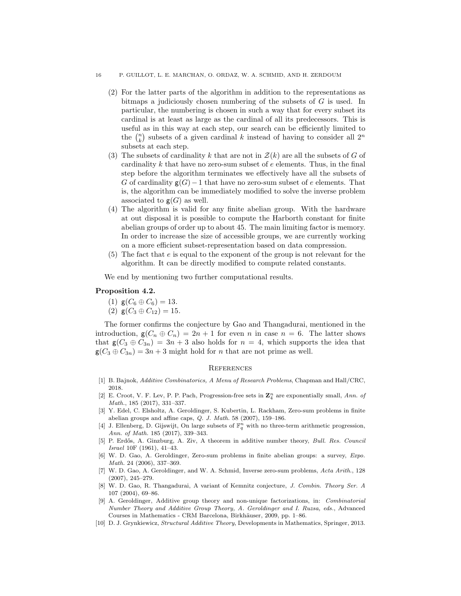#### 16 P. GUILLOT, L. E. MARCHAN, O. ORDAZ, W. A. SCHMID, AND H. ZERDOUM

- (2) For the latter parts of the algorithm in addition to the representations as bitmaps a judiciously chosen numbering of the subsets of  $G$  is used. In particular, the numbering is chosen in such a way that for every subset its cardinal is at least as large as the cardinal of all its predecessors. This is useful as in this way at each step, our search can be efficiently limited to the  $\binom{n}{k}$  subsets of a given cardinal k instead of having to consider all  $2^n$ subsets at each step.
- (3) The subsets of cardinality k that are not in  $\mathcal{Z}(k)$  are all the subsets of G of cardinality  $k$  that have no zero-sum subset of  $e$  elements. Thus, in the final step before the algorithm terminates we effectively have all the subsets of G of cardinality  $g(G)-1$  that have no zero-sum subset of e elements. That is, the algorithm can be immediately modified to solve the inverse problem associated to  $g(G)$  as well.
- (4) The algorithm is valid for any finite abelian group. With the hardware at out disposal it is possible to compute the Harborth constant for finite abelian groups of order up to about 45. The main limiting factor is memory. In order to increase the size of accessible groups, we are currently working on a more efficient subset-representation based on data compression.
- (5) The fact that e is equal to the exponent of the group is not relevant for the algorithm. It can be directly modified to compute related constants.

We end by mentioning two further computational results.

# Proposition 4.2.

- (1)  $g(C_6 \oplus C_6) = 13$ .
- (2)  $g(C_3 \oplus C_{12}) = 15$ .

The former confirms the conjecture by Gao and Thangadurai, mentioned in the introduction,  $g(C_n \oplus C_n) = 2n + 1$  for even n in case  $n = 6$ . The latter shows that  $g(C_3 \oplus C_{3n}) = 3n + 3$  also holds for  $n = 4$ , which supports the idea that  $g(C_3 \oplus C_{3n}) = 3n + 3$  might hold for *n* that are not prime as well.

#### **REFERENCES**

- <span id="page-15-5"></span><span id="page-15-2"></span>[1] B. Bajnok, Additive Combinatorics, A Menu of Research Problems, Chapman and Hall/CRC, 2018.
- [2] E. Croot, V. F. Lev, P. P. Pach, Progression-free sets in  $\mathbb{Z}_4^n$  are exponentially small, Ann. of Math., 185 (2017), 331–337.
- <span id="page-15-3"></span>[3] Y. Edel, C. Elsholtz, A. Geroldinger, S. Kubertin, L. Rackham, Zero-sum problems in finite abelian groups and affine caps, Q. J. Math. 58 (2007), 159–186.
- <span id="page-15-4"></span>[4] J. Ellenberg, D. Gijswijt, On large subsets of  $\mathbb{F}_q^n$  with no three-term arithmetic progression, Ann. of Math. 185 (2017), 339–343.
- <span id="page-15-1"></span>[5] P. Erdős, A. Ginzburg, A. Ziv, A theorem in additive number theory, Bull. Res. Council Israel 10F (1961), 41–43.
- <span id="page-15-0"></span>[6] W. D. Gao, A. Geroldinger, Zero-sum problems in finite abelian groups: a survey, Expo. Math. 24 (2006), 337–369.
- <span id="page-15-7"></span>[7] W. D. Gao, A. Geroldinger, and W. A. Schmid, Inverse zero-sum problems, Acta Arith., 128 (2007), 245–279.
- <span id="page-15-6"></span>[8] W. D. Gao, R. Thangadurai, A variant of Kemnitz conjecture, J. Combin. Theory Ser. A 107 (2004), 69–86.
- <span id="page-15-8"></span>[9] A. Geroldinger, Additive group theory and non-unique factorizations, in: Combinatorial Number Theory and Additive Group Theory, A. Geroldinger and I. Ruzsa, eds., Advanced Courses in Mathematics - CRM Barcelona, Birkhäuser, 2009, pp. 1–86.
- <span id="page-15-9"></span>[10] D. J. Grynkiewicz, Structural Additive Theory, Developments in Mathematics, Springer, 2013.